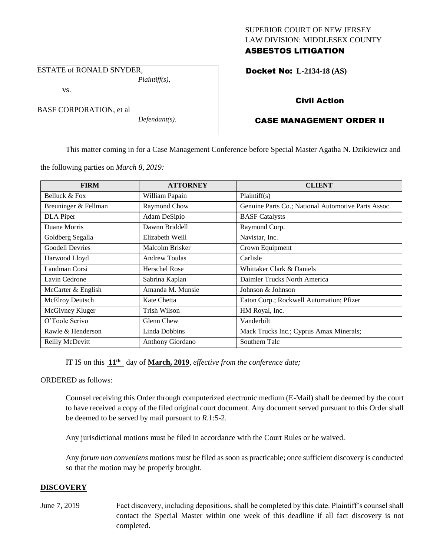### SUPERIOR COURT OF NEW JERSEY LAW DIVISION: MIDDLESEX COUNTY ASBESTOS LITIGATION

ESTATE of RONALD SNYDER,

*Plaintiff(s),*

vs.

BASF CORPORATION, et al

*Defendant(s).*

Docket No: **L-2134-18 (AS)** 

## Civil Action

# CASE MANAGEMENT ORDER II

This matter coming in for a Case Management Conference before Special Master Agatha N. Dzikiewicz and

the following parties on *March 8, 2019:*

| <b>FIRM</b>            | <b>ATTORNEY</b>         | <b>CLIENT</b>                                       |
|------------------------|-------------------------|-----------------------------------------------------|
| Belluck & Fox          | William Papain          | Plaintiff(s)                                        |
| Breuninger & Fellman   | Raymond Chow            | Genuine Parts Co.; National Automotive Parts Assoc. |
| DLA Piper              | Adam DeSipio            | <b>BASF</b> Catalysts                               |
| Duane Morris           | Dawnn Briddell          | Raymond Corp.                                       |
| Goldberg Segalla       | Elizabeth Weill         | Navistar, Inc.                                      |
| <b>Goodell Devries</b> | Malcolm Brisker         | Crown Equipment                                     |
| Harwood Lloyd          | <b>Andrew Toulas</b>    | Carlisle                                            |
| Landman Corsi          | Herschel Rose           | Whittaker Clark & Daniels                           |
| Lavin Cedrone          | Sabrina Kaplan          | Daimler Trucks North America                        |
| McCarter & English     | Amanda M. Munsie        | Johnson & Johnson                                   |
| McElroy Deutsch        | Kate Chetta             | Eaton Corp.; Rockwell Automation; Pfizer            |
| McGivney Kluger        | Trish Wilson            | HM Royal, Inc.                                      |
| O'Toole Scrivo         | Glenn Chew              | Vanderbilt                                          |
| Rawle & Henderson      | Linda Dobbins           | Mack Trucks Inc.; Cyprus Amax Minerals;             |
| Reilly McDevitt        | <b>Anthony Giordano</b> | Southern Talc                                       |

IT IS on this **11th** day of **March, 2019**, *effective from the conference date;*

ORDERED as follows:

Counsel receiving this Order through computerized electronic medium (E-Mail) shall be deemed by the court to have received a copy of the filed original court document. Any document served pursuant to this Order shall be deemed to be served by mail pursuant to *R*.1:5-2.

Any jurisdictional motions must be filed in accordance with the Court Rules or be waived.

Any *forum non conveniens* motions must be filed as soon as practicable; once sufficient discovery is conducted so that the motion may be properly brought.

## **DISCOVERY**

June 7, 2019 Fact discovery, including depositions, shall be completed by this date. Plaintiff's counsel shall contact the Special Master within one week of this deadline if all fact discovery is not completed.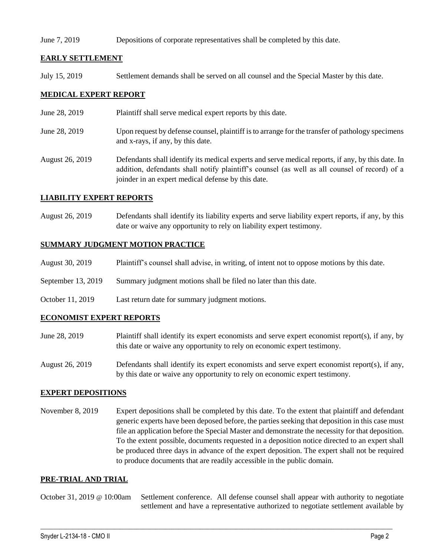### June 7, 2019 Depositions of corporate representatives shall be completed by this date.

### **EARLY SETTLEMENT**

July 15, 2019 Settlement demands shall be served on all counsel and the Special Master by this date.

## **MEDICAL EXPERT REPORT**

- June 28, 2019 Plaintiff shall serve medical expert reports by this date.
- June 28, 2019 Upon request by defense counsel, plaintiff is to arrange for the transfer of pathology specimens and x-rays, if any, by this date.
- August 26, 2019 Defendants shall identify its medical experts and serve medical reports, if any, by this date. In addition, defendants shall notify plaintiff's counsel (as well as all counsel of record) of a joinder in an expert medical defense by this date.

### **LIABILITY EXPERT REPORTS**

August 26, 2019 Defendants shall identify its liability experts and serve liability expert reports, if any, by this date or waive any opportunity to rely on liability expert testimony.

### **SUMMARY JUDGMENT MOTION PRACTICE**

- August 30, 2019 Plaintiff's counsel shall advise, in writing, of intent not to oppose motions by this date.
- September 13, 2019 Summary judgment motions shall be filed no later than this date.
- October 11, 2019 Last return date for summary judgment motions.

### **ECONOMIST EXPERT REPORTS**

- June 28, 2019 Plaintiff shall identify its expert economists and serve expert economist report(s), if any, by this date or waive any opportunity to rely on economic expert testimony.
- August 26, 2019 Defendants shall identify its expert economists and serve expert economist report(s), if any, by this date or waive any opportunity to rely on economic expert testimony.

### **EXPERT DEPOSITIONS**

November 8, 2019 Expert depositions shall be completed by this date. To the extent that plaintiff and defendant generic experts have been deposed before, the parties seeking that deposition in this case must file an application before the Special Master and demonstrate the necessity for that deposition. To the extent possible, documents requested in a deposition notice directed to an expert shall be produced three days in advance of the expert deposition. The expert shall not be required to produce documents that are readily accessible in the public domain.

### **PRE-TRIAL AND TRIAL**

October 31, 2019 @ 10:00am Settlement conference. All defense counsel shall appear with authority to negotiate settlement and have a representative authorized to negotiate settlement available by

 $\_$  ,  $\_$  ,  $\_$  ,  $\_$  ,  $\_$  ,  $\_$  ,  $\_$  ,  $\_$  ,  $\_$  ,  $\_$  ,  $\_$  ,  $\_$  ,  $\_$  ,  $\_$  ,  $\_$  ,  $\_$  ,  $\_$  ,  $\_$  ,  $\_$  ,  $\_$  ,  $\_$  ,  $\_$  ,  $\_$  ,  $\_$  ,  $\_$  ,  $\_$  ,  $\_$  ,  $\_$  ,  $\_$  ,  $\_$  ,  $\_$  ,  $\_$  ,  $\_$  ,  $\_$  ,  $\_$  ,  $\_$  ,  $\_$  ,